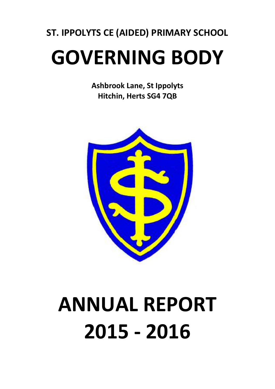# ST. IPPOLYTS CE (AIDED) PRIMARY SCHOOL

# GOVERNING BODY

Ashbrook Lane, St Ippolyts Hitchin, Herts SG4 7QB



# ANNUAL REPORT 2015 - 2016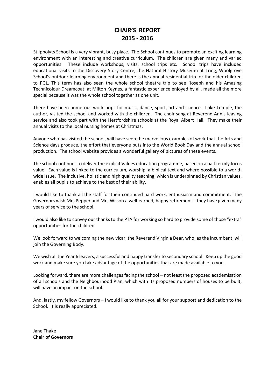## CHAIR'S REPORT 2015 - 2016

St Ippolyts School is a very vibrant, busy place. The School continues to promote an exciting learning environment with an interesting and creative curriculum. The children are given many and varied opportunities. These include workshops, visits, school trips etc. School trips have included educational visits to the Discovery Story Centre, the Natural History Museum at Tring, Woolgrove School's outdoor learning environment and there is the annual residential trip for the older children to PGL. This term has also seen the whole school theatre trip to see 'Joseph and his Amazing Technicolour Dreamcoat' at Milton Keynes, a fantastic experience enjoyed by all, made all the more special because it was the whole school together as one unit.

There have been numerous workshops for music, dance, sport, art and science. Luke Temple, the author, visited the school and worked with the children. The choir sang at Reverend Ann's leaving service and also took part with the Hertfordshire schools at the Royal Albert Hall. They make their annual visits to the local nursing homes at Christmas.

Anyone who has visited the school, will have seen the marvellous examples of work that the Arts and Science days produce, the effort that everyone puts into the World Book Day and the annual school production. The school website provides a wonderful gallery of pictures of these events.

The school continues to deliver the explicit Values education programme, based on a half termly focus value. Each value is linked to the curriculum, worship, a biblical text and where possible to a worldwide issue. The inclusive, holistic and high quality teaching, which is underpinned by Christian values, enables all pupils to achieve to the best of their ability.

I would like to thank all the staff for their continued hard work, enthusiasm and commitment. The Governors wish Mrs Pepper and Mrs Wilson a well-earned, happy retirement – they have given many years of service to the school.

I would also like to convey our thanks to the PTA for working so hard to provide some of those "extra" opportunities for the children.

We look forward to welcoming the new vicar, the Reverend Virginia Dear, who, as the incumbent, will join the Governing Body.

We wish all the Year 6 leavers, a successful and happy transfer to secondary school. Keep up the good work and make sure you take advantage of the opportunities that are made available to you.

Looking forward, there are more challenges facing the school – not least the proposed academisation of all schools and the Neighbourhood Plan, which with its proposed numbers of houses to be built, will have an impact on the school.

And, lastly, my fellow Governors – I would like to thank you all for your support and dedication to the School. It is really appreciated.

Jane Thake Chair of Governors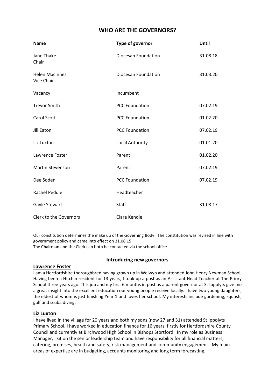## WHO ARE THE GOVERNORS?

| <b>Name</b>                         | Type of governor      | Until    |
|-------------------------------------|-----------------------|----------|
| Jane Thake<br>Chair                 | Diocesan Foundation   | 31.08.18 |
| <b>Helen MacInnes</b><br>Vice Chair | Diocesan Foundation   | 31.03.20 |
| Vacancy                             | Incumbent             |          |
| <b>Trevor Smith</b>                 | <b>PCC Foundation</b> | 07.02.19 |
| <b>Carol Scott</b>                  | <b>PCC Foundation</b> | 01.02.20 |
| Jill Eaton                          | <b>PCC Foundation</b> | 07.02.19 |
| Liz Luxton                          | Local Authority       | 01.01.20 |
| Lawrence Foster                     | Parent                | 01.02.20 |
| <b>Martin Stevenson</b>             | Parent                | 07.02.19 |
| Dee Soden                           | <b>PCC Foundation</b> | 07.02.19 |
| <b>Rachel Peddie</b>                | Headteacher           |          |
| Gayle Stewart                       | Staff                 | 31.08.17 |
| <b>Clerk to the Governors</b>       | Clare Kendle          |          |

Our constitution determines the make up of the Governing Body. The constitution was revised in line with government policy and came into effect on 31.08.15

The Chairman and the Clerk can both be contacted via the school office.

## Introducing new governors

## Lawrence Foster

I am a Hertfordshire thoroughbred having grown up in Welwyn and attended John Henry Newman School. Having been a Hitchin resident for 13 years, I took up a post as an Assistant Head Teacher at The Priory School three years ago. This job and my first 6 months in post as a parent governor at St Ippolyts give me a great insight into the excellent education our young people receive locally. I have two young daughters, the eldest of whom is just finishing Year 1 and loves her school. My interests include gardening, squash, golf and scuba diving.

## Liz Luxton

I have lived in the village for 20 years and both my sons (now 27 and 31) attended St Ippolyts Primary School. I have worked in education finance for 16 years, firstly for Hertfordshire County Council and currently at Birchwood High School in Bishops Stortford. In my role as Business Manager, I sit on the senior leadership team and have responsibility for all financial matters, catering, premises, health and safety, risk management and community engagement. My main areas of expertise are in budgeting, accounts monitoring and long term forecasting.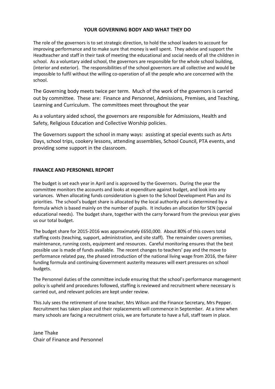## YOUR GOVERNING BODY AND WHAT THEY DO

The role of the governors is to set strategic direction, to hold the school leaders to account for improving performance and to make sure that money is well spent. They advise and support the Headteacher and staff in their task of meeting the educational and social needs of all the children in school. As a voluntary aided school, the governors are responsible for the whole school building, (interior and exterior). The responsibilities of the school governors are all collective and would be impossible to fulfil without the willing co-operation of all the people who are concerned with the school.

The Governing body meets twice per term. Much of the work of the governors is carried out by committee. These are: Finance and Personnel, Admissions, Premises, and Teaching, Learning and Curriculum. The committees meet throughout the year

As a voluntary aided school, the governors are responsible for Admissions, Health and Safety, Religious Education and Collective Worship policies.

The Governors support the school in many ways: assisting at special events such as Arts Days, school trips, cookery lessons, attending assemblies, School Council, PTA events, and providing some support in the classroom.

## FINANCE AND PERSONNEL REPORT

The budget is set each year in April and is approved by the Governors. During the year the committee monitors the accounts and looks at expenditure against budget, and look into any variances. When allocating funds consideration is given to the School Development Plan and its priorities. The school's budget share is allocated by the local authority and is determined by a formula which is based mainly on the number of pupils. It includes an allocation for SEN (special educational needs). The budget share, together with the carry forward from the previous year gives us our total budget.

The budget share for 2015-2016 was approximately £650,000. About 80% of this covers total staffing costs (teaching, support, administration, and site staff). The remainder covers premises, maintenance, running costs, equipment and resources. Careful monitoring ensures that the best possible use is made of funds available. The recent changes to teachers' pay and the move to performance related pay, the phased introduction of the national living wage from 2016, the fairer funding formula and continuing Government austerity measures will exert pressures on school budgets.

The Personnel duties of the committee include ensuring that the school's performance management policy is upheld and procedures followed, staffing is reviewed and recruitment where necessary is carried out, and relevant policies are kept under review.

This July sees the retirement of one teacher, Mrs Wilson and the Finance Secretary, Mrs Pepper. Recruitment has taken place and their replacements will commence in September. At a time when many schools are facing a recruitment crisis, we are fortunate to have a full, staff team in place.

Jane Thake Chair of Finance and Personnel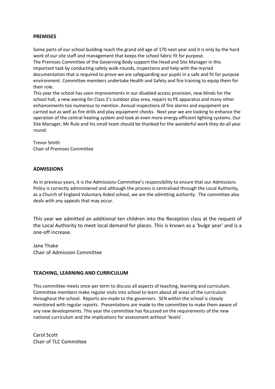## PREMISES

Some parts of our school building reach the grand old age of 170 next year and it is only by the hard work of our site staff and management that keeps the school fabric fit for purpose. The Premises Committee of the Governing Body support the Head and Site Manager in this important task by conducting safety walk-rounds, inspections and help with the myriad documentation that is required to prove we are safeguarding our pupils in a safe and fit for purpose environment. Committee members undertake Health and Safety and fire training to equip them for their role.

This year the school has seen improvements in our disabled access provision, new blinds for the school hall, a new awning for Class 2's outdoor play area, repairs to PE apparatus and many other enhancements too numerous to mention. Annual inspections of fire alarms and equipment are carried out as well as fire drills and play equipment checks. Next year we are looking to enhance the operation of the central heating system and look at even more energy efficient lighting systems. Our Site Manager, Mr Rule and his small team should be thanked for the wonderful work they do all year round.

Trevor Smith Chair of Premises Committee

## ADMISSIONS

As in previous years, it is the Admissions Committee's responsibility to ensure that our Admissions Policy is correctly administered and although the process is centralised through the Local Authority, as a Church of England Voluntary Aided school, we are the admitting authority. The committee also deals with any appeals that may occur.

This year we admitted an additional ten children into the Reception class at the request of the Local Authority to meet local demand for places. This is known as a 'bulge year' and is a one-off increase.

Jane Thake Chair of Admission Committee

## TEACHING, LEARNING AND CURRICULUM

This committee meets once per term to discuss all aspects of teaching, learning and curriculum. Committee members make regular visits into school to learn about all areas of the curriculum throughout the school. Reports are made to the governors. SEN within the school is closely monitored with regular reports. Presentations are made to the committee to make them aware of any new developments. This year the committee has focussed on the requirements of the new national curriculum and the implications for assessment without 'levels'.

Carol Scott Chair of TLC Committee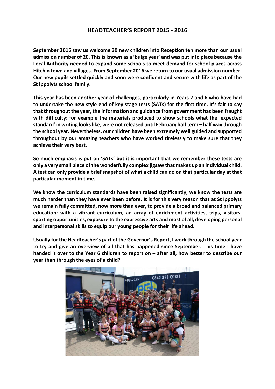## HEADTEACHER'S REPORT 2015 - 2016

September 2015 saw us welcome 30 new children into Reception ten more than our usual admission number of 20. This is known as a 'bulge year' and was put into place because the Local Authority needed to expand some schools to meet demand for school places across Hitchin town and villages. From September 2016 we return to our usual admission number. Our new pupils settled quickly and soon were confident and secure with life as part of the St Ippolyts school family.

This year has been another year of challenges, particularly in Years 2 and 6 who have had to undertake the new style end of key stage tests (SATs) for the first time. It's fair to say that throughout the year, the information and guidance from government has been fraught with difficulty; for example the materials produced to show schools what the 'expected standard' in writing looks like, were not released until February half term – half way through the school year. Nevertheless, our children have been extremely well guided and supported throughout by our amazing teachers who have worked tirelessly to make sure that they achieve their very best.

So much emphasis is put on 'SATs' but it is important that we remember these tests are only a very small piece of the wonderfully complex jigsaw that makes up an individual child. A test can only provide a brief snapshot of what a child can do on that particular day at that particular moment in time.

We know the curriculum standards have been raised significantly, we know the tests are much harder than they have ever been before. It is for this very reason that at St Ippolyts we remain fully committed, now more than ever, to provide a broad and balanced primary education: with a vibrant curriculum, an array of enrichment activities, trips, visitors, sporting opportunities, exposure to the expressive arts and most of all, developing personal and interpersonal skills to equip our young people for their life ahead.

Usually for the Headteacher's part of the Governor's Report, I work through the school year to try and give an overview of all that has happened since September. This time I have handed it over to the Year 6 children to report on – after all, how better to describe our year than through the eyes of a child?

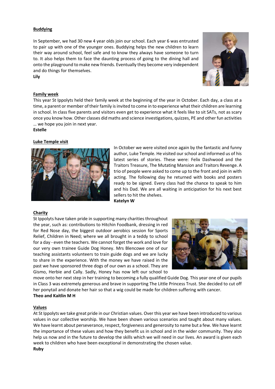## Buddying

In September, we had 30 new 4 year olds join our school. Each year 6 was entrusted to pair up with one of the younger ones. Buddying helps the new children to learn their way around school, feel safe and to know they always have someone to turn to. It also helps them to face the daunting process of going to the dining hall and onto the playground to make new friends. Eventually they become very independent and do things for themselves. Lily



## Family week

This year St Ippolyts held their family week at the beginning of the year in October. Each day, a class at a time, a parent or member of their family is invited to come in to experience what their children are learning in school. In class five parents and visitors even get to experience what it feels like to sit SATs, not as scary once you know how. Other classes did maths and science investigations, quizzes, PE and other fun activities … we hope you join in next year.

## Estelle

## Luke Temple visit



In October we were visited once again by the fantastic and funny author, Luke Temple. He visited our school and informed us of his latest series of stories. These were: Felix Dashwood and the Traitors Treasure, The Mutating Mansion and Traitors Revenge. A trio of people were asked to come up to the front and join in with acting. The following day he returned with books and posters ready to be signed. Every class had the chance to speak to him and his Dad. We are all waiting in anticipation for his next best sellers to hit the shelves. Katelyn W

## Charity

St Ippolyts have taken pride in supporting many charities throughout the year, such as: contributions to Hitchin Foodbank, dressing in red for Red Nose day, the biggest outdoor aerobics session for Sports Relief, Children in Need; where we all brought in a teddy to school for a day - even the teachers. We cannot forget the work and love for our very own trainee Guide Dog Honey. Mrs Blencowe one of our teaching assistants volunteers to train guide dogs and we are lucky to share in the experience. With the money we have raised in the past we have sponsored three dogs of our own as a school. They are Gismo, Herbie and Cally. Sadly, Honey has now left our school to



move onto her next step in her training to becoming a fully qualified Guide Dog. This year one of our pupils in Class 3 was extremely generous and brave in supporting The Little Princess Trust. She decided to cut off her ponytail and donate her hair so that a wig could be made for children suffering with cancer. Theo and Kaitlin M H

## Values

At St Ippolyts we take great pride in our Christian values. Over this year we have been introduced to various values in our collective worship. We have been shown various scenarios and taught about many values. We have learnt about perseverance, respect, forgiveness and generosity to name but a few. We have learnt the importance of these values and how they benefit us in school and in the wider community. They also help us now and in the future to develop the skills which we will need in our lives. An award is given each week to children who have been exceptional in demonstrating the chosen value. Ruby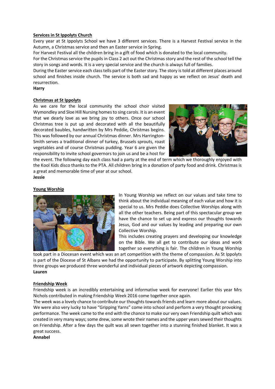## Services in St Ippolyts Church

Every year at St Ippolyts School we have 3 different services. There is a Harvest Festival service in the Autumn, a Christmas service and then an Easter service in Spring.

For Harvest Festival all the children bring in a gift of food which is donated to the local community.

For the Christmas service the pupils in Class 2 act out the Christmas story and the rest of the school tell the story in songs and words. It is a very special service and the church is always full of families.

During the Easter service each class tells part of the Easter story. The story is told at different places around school and finishes inside church. The service is both sad and happy as we reflect on Jesus' death and resurrection.

## **Harry**

## Christmas at St Ippolyts

As we care for the local community the school choir visited Wymondley and Sloe Hill Nursing homes to sing carols. It is an event that we dearly love as we bring joy to others. Once our school Christmas tree is put up and decorated with all the beautifully decorated baubles, handwritten by Mrs Peddie, Christmas begins. This was followed by our annual Christmas dinner. Mrs Harrington-Smith serves a traditional dinner of turkey, Brussels sprouts, roast vegetables and of course Christmas pudding. Year 6 are given the responsibility to invite school governors to join us and be a host for



the event. The following day each class had a party at the end of term which we thoroughly enjoyed with the Kool Kids disco thanks to the PTA. All children bring in a donation of party food and drink. Christmas is a great and memorable time of year at our school.

## Jessie

## Young Worship



In Young Worship we reflect on our values and take time to think about the individual meaning of each value and how it is special to us. Mrs Peddie does Collective Worships along with all the other teachers. Being part of this spectacular group we have the chance to set up and express our thoughts towards Jesus, God and our values by leading and preparing our own Collective Worship.

This includes creating prayers and developing our knowledge on the Bible. We all get to contribute our ideas and work together so everything is fair. The children in Young Worship

took part in a Diocesan event which was an art competition with the theme of compassion. As St Ippolyts is part of the Diocese of St Albans we had the opportunity to participate. By splitting Young Worship into three groups we produced three wonderful and individual pieces of artwork depicting compassion. Lauren

## Friendship Week

Friendship week is an incredibly entertaining and informative week for everyone! Earlier this year Mrs Nichols contributed in making Friendship Week 2016 come together once again.

The week was a lovely chance to contribute our thoughts towards friends and learn more about our values. We were also very lucky to have "Gripping Yarns" come into school and perform a very thought provoking performance. The week came to the end with the chance to make our very own Friendship quilt which was created in very many ways; some drew, some wrote their names and the upper years sewed their thoughts on Friendship. After a few days the quilt was all sewn together into a stunning finished blanket. It was a great success.

## Annabel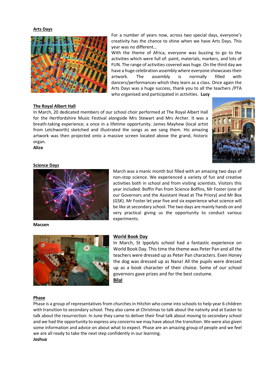#### Arts Days



#### The Royal Albert Hall

In March, 20 dedicated members of our school choir performed at The Royal Albert Hall for the Hertfordshire Music Festival alongside Mrs Stewart and Mrs Archer. It was a breath-taking experience; a once in a lifetime opportunity. James Mayhew (local artist from Letchworth) sketched and illustrated the songs as we sang them. His amazing artwork was then projected onto a massive screen located above the grand, historic organ.



#### Science Days

Alice



March was a manic month but filled with an amazing two days of non-stop science. We experienced a variety of fun and creative activities both in school and from visiting scientists. Visitors this year included: Boffin Pan from Science Boffins, Mr Foster (one of our Governors and the Assistant Head at The Priory) and Mr Box (GSK). Mr Foster let year five and six experience what science will be like at secondary school. The two days are mainly hands on and very practical giving us the opportunity to conduct various experiments.

Macsen



#### World Book Day

In March, St Ippolyts school had a fantastic experience on World Book Day. This time the theme was Peter Pan and all the teachers were dressed up as Peter Pan characters. Even Honey the dog was dressed up as Nana! All the pupils were dressed up as a book character of their choice. Some of our school governors gave prizes and for the best costume. Bilal

#### Phase

Phase is a group of representatives from churches in Hitchin who come into schools to help year 6 children with transition to secondary school. They also came at Christmas to talk about the nativity and at Easter to talk about the resurrection. In June they came to deliver their final talk about moving to secondary school and we had the opportunity to express any concerns we may have about the transition. We were also given some information and advice on about what to expect. Phase are an amazing group of people and we feel we are all ready to take the next step confidently in our learning. Joshua

For a number of years now, across two special days, everyone's creativity has the chance to shine when we have Arts Days. This year was no different…

With the theme of Africa, everyone was buzzing to go to the activities which were full of: paint, materials, markers, and lots of FUN. The range of activities covered was huge. On the third day we have a huge celebration assembly where everyone showcases their artwork. The assembly is normally filled with dancers/performances which they learn as a class. Once again the Arts Days was a huge success, thank you to all the teachers /PTA who organised and participated in activities. Lucy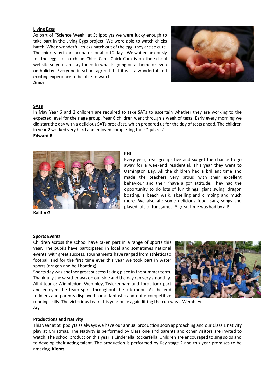#### Living Eggs

As part of "Science Week" at St Ippolyts we were lucky enough to take part in the Living Eggs project. We were able to watch chicks hatch. When wonderful chicks hatch out of the egg, they are so cute. The chicks stay in an incubator for about 2 days. We waited anxiously for the eggs to hatch on Chick Cam. Chick Cam is on the school website so you can stay tuned to what is going on at home or even on holiday! Everyone in school agreed that it was a wonderful and exciting experience to be able to watch.



## SATs

Anna

In May Year 6 and 2 children are required to take SATs to ascertain whether they are working to the expected level for their age group. Year 6 children went through a week of tests. Early every morning we did start the day with a delicious SATs breakfast, which prepared us for the day of tests ahead. The children in year 2 worked very hard and enjoyed completing their "quizzes".

#### Edward B



#### PGL

Every year, Year groups five and six get the chance to go away for a weekend residential. This year they went to Osmington Bay. All the children had a brilliant time and made the teachers very proud with their excellent behaviour and their "have a go" attitude. They had the opportunity to do lots of fun things: giant swing, dragon boating, a beach walk, abseiling and climbing and much more. We also ate some delicious food, sang songs and played lots of fun games. A great time was had by all!

Kaitlin G

#### Sports Events

Children across the school have taken part in a range of sports this year. The pupils have participated in local and sometimes national events, with great success. Tournaments have ranged from athletics to football and for the first time ever this year we took part in water sports (dragon and bell boating)

Sports day was another great success taking place in the summer term. Thankfully the weather was on our side and the day ran very smoothly. All 4 teams: Wimbledon, Wembley, Twickenham and Lords took part and enjoyed the team spirit throughout the afternoon. At the end toddlers and parents displayed some fantastic and quite competitive



running skills. The victorious team this year once again lifting the cup was …Wembley. Jay

#### Productions and Nativity

This year at St Ippolyts as always we have our annual production soon approaching and our Class 1 nativity play at Christmas. The Nativity is performed by Class one and parents and other visitors are invited to watch. The school production this year is Cinderella Rockerfella. Children are encouraged to sing solos and to develop their acting talent. The production is performed by Key stage 2 and this year promises to be amazing. Kierat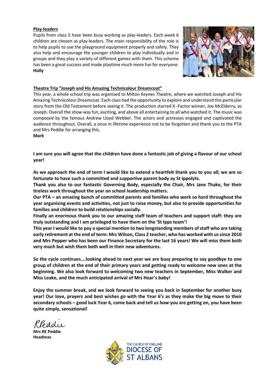## Play-leaders

Pupils from class 5 have been busy working as play-leaders. Each week 6 children are chosen as play-leaders. The main responsibility of the role is to help pupils to use the playground equipment properly and safely. They also help and encourage the younger children to play individually and in groups and they play a variety of different games with them. This scheme has been a great success and made playtime much more fun for everyone. Holly



## Theatre Trip "Joseph and His Amazing Technicolour Dreamcoat"

This year, a whole school trip was organised to Milton Keynes Theatre, where we watched Joseph and His Amazing Technicolour Dreamcoat. Each class had the opportunity to explore and understand this particular story from the Old Testament before seeing it. The production starred X -Factor winner, Joe McElderry, as Joseph. Overall the show was fun, exciting, and above all entertaining to all who watched it. The music was composed by the famous Andrew Lloyd Webber. The actors and actresses engaged and captivated the audience throughout. Overall, a once in lifetime experience not to be forgotten and thank you to the PTA and Mrs Peddie for arranging this.

Mark

I am sure you will agree that the children have done a fantastic job of giving a flavour of our school year!

As we approach the end of term I would like to extend a heartfelt thank you to you all; we are so fortunate to have such a committed and supportive parent body ay St Ippolyts.

Thank you also to our fantastic Governing Body, especially the Chair, Mrs Jane Thake, for their tireless work throughout the year on school leadership matters.

Our PTA – an amazing bunch of committed parents and families who work so hard throughout the year organising events and activities, not just to raise money, but also to provide opportunities for families and children to build relationships socially.

Finally an enormous thank you to our amazing staff team of teachers and support staff: they are truly outstanding and I am privileged to have them on the 'St Ipps team'!

This year I would like to pay a special mention to two longstanding members of staff who are taking early retirement at the end of term: Mrs Wilson, Class 2 teacher, who has worked with us since 2010 and Mrs Pepper who has been our Finance Secretary for the last 16 years! We will miss them both very much but wish them both well in their new adventures.

So the cycle continues….looking ahead to next year we are busy preparing to say goodbye to one group of children at the end of their primary years and getting ready to welcome new ones at the beginning. We also look forward to welcoming two new teachers in September, Miss Walker and Miss Leake, and the much anticipated arrival of Mrs Hoar's baby!

Enjoy the summer break, and we look forward to seeing you back in September for another busy year! Our love, prayers and best wishes go with the Year 6's as they make the big move to their secondary schools – good luck Year 6, come back and tell us how you are getting on, you have been quite simply, sensational!

Mrs RE Peddie Headteac

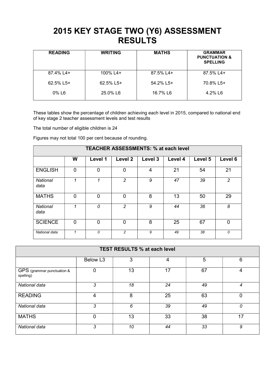## 2015 KEY STAGE TWO (Y6) ASSESSMENT **RESULTS**

| <b>READING</b>       | <b>WRITING</b> | <b>MATHS</b> | <b>GRAMMAR</b><br><b>PUNCTUATION &amp;</b><br><b>SPELLING</b> |
|----------------------|----------------|--------------|---------------------------------------------------------------|
| 87.4% L4+            | 100% L4+       | 87.5% L4+    | 87.5% L4+                                                     |
| $62.5\%$ L5+         | $62.5\%$ L5+   | $54.2\%$ L5+ | 70.8% L5+                                                     |
| $0\%$ L <sub>6</sub> | 25.0% L6       | 16.7% L6     | 4.2% L6                                                       |

These tables show the percentage of children achieving each level in 2015, compared to national end of key stage 2 teacher assessment levels and test results

The total number of eligible children is 24

Figures may not total 100 per cent because of rounding.

| <b>TEACHER ASSESSMENTS: % at each level</b> |          |          |                    |         |         |         |             |
|---------------------------------------------|----------|----------|--------------------|---------|---------|---------|-------------|
|                                             | W        | Level 1  | Level <sub>2</sub> | Level 3 | Level 4 | Level 5 | Level 6     |
| <b>ENGLISH</b>                              | $\Omega$ | 0        | $\overline{0}$     | 4       | 21      | 54      | 21          |
| National<br>data                            | 1        | 1        | 2                  | 9       | 47      | 39      | 2           |
| <b>MATHS</b>                                | 0        | 0        | $\Omega$           | 8       | 13      | 50      | 29          |
| National<br>data                            | 1        | $\Omega$ | $\overline{c}$     | 9       | 44      | 36      | 8           |
| <b>SCIENCE</b>                              | $\Omega$ | $\Omega$ | $\Omega$           | 8       | 25      | 67      | $\mathbf 0$ |
| National data                               |          | 0        | $\overline{c}$     | 9       | 49      | 38      | 0           |

| <b>TEST RESULTS % at each level</b>     |                      |    |    |    |    |
|-----------------------------------------|----------------------|----|----|----|----|
|                                         | Below L <sub>3</sub> | 3  | 4  | 5  | 6  |
| GPS (grammar punctuation &<br>spelling) | $\overline{0}$       | 13 | 17 | 67 | 4  |
| National data                           | 3                    | 18 | 24 | 49 | 4  |
| <b>READING</b>                          | 4                    | 8  | 25 | 63 |    |
| National data                           | 3                    | 6  | 39 | 49 | 0  |
| <b>MATHS</b>                            | $\overline{0}$       | 13 | 33 | 38 | 17 |
| National data                           | 3                    | 10 | 44 | 33 | 9  |